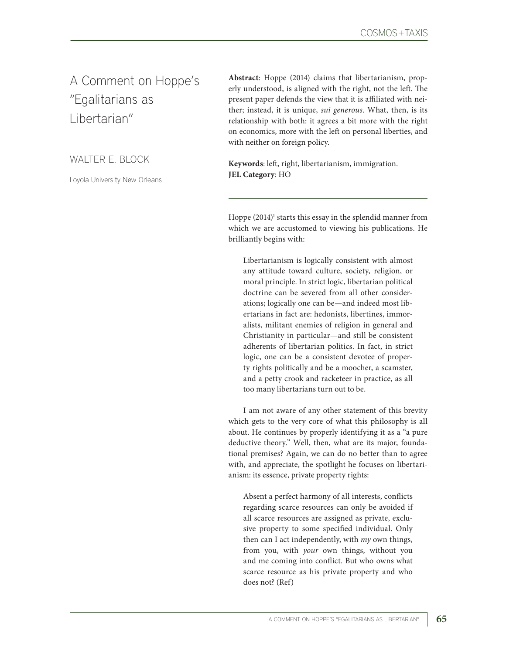A Comment on Hoppe's "Egalitarians as Libertarian"

[W](https://www.uva.nl/en/profile/s/c/e.s.schliesser/e.s.schliesser.html?cb)ALTER E. BLOCK

Loyola University New Orleans

**Abstract**: Hoppe (2014) claims that libertarianism, properly understood, is aligned with the right, not the left. The present paper defends the view that it is affiliated with neither; instead, it is unique, *sui generous*. What, then, is its relationship with both: it agrees a bit more with the right on economics, more with the left on personal liberties, and with neither on foreign policy.

**Keywords**: left, right, libertarianism, immigration. **JEL Category**: HO

Hoppe (2014)<sup>1</sup> starts this essay in the splendid manner from which we are accustomed to viewing his publications. He brilliantly begins with:

Libertarianism is logically consistent with almost any attitude toward culture, society, religion, or moral principle. In strict logic, libertarian political doctrine can be severed from all other considerations; logically one can be—and indeed most libertarians in fact are: hedonists, libertines, immoralists, militant enemies of religion in general and Christianity in particular—and still be consistent adherents of libertarian politics. In fact, in strict logic, one can be a consistent devotee of property rights politically and be a moocher, a scamster, and a petty crook and racketeer in practice, as all too many libertarians turn out to be.

I am not aware of any other statement of this brevity which gets to the very core of what this philosophy is all about. He continues by properly identifying it as a "a pure deductive theory." Well, then, what are its major, foundational premises? Again, we can do no better than to agree with, and appreciate, the spotlight he focuses on libertarianism: its essence, private property rights:

Absent a perfect harmony of all interests, conflicts regarding scarce resources can only be avoided if all scarce resources are assigned as private, exclusive property to some specified individual. Only then can I act independently, with *my* own things, from you, with *your* own things, without you and me coming into conflict. But who owns what scarce resource as his private property and who does not? (Ref)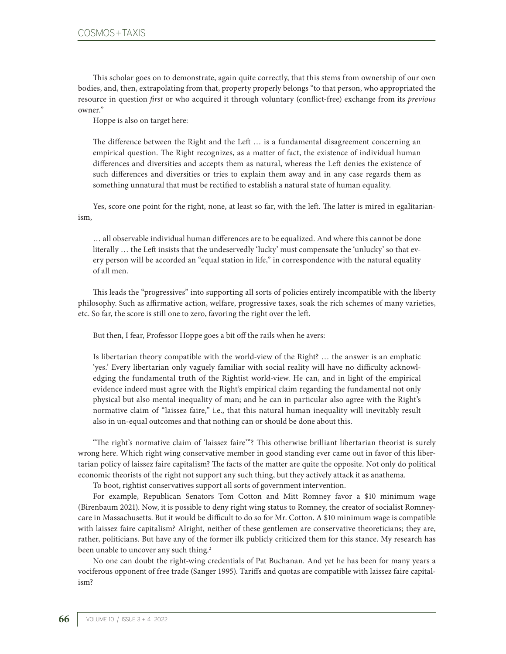This scholar goes on to demonstrate, again quite correctly, that this stems from ownership of our own bodies, and, then, extrapolating from that, property properly belongs "to that person, who appropriated the resource in question *first* or who acquired it through voluntary (conflict-free) exchange from its *previous* owner."

Hoppe is also on target here:

The difference between the Right and the Left … is a fundamental disagreement concerning an empirical question. The Right recognizes, as a matter of fact, the existence of individual human differences and diversities and accepts them as natural, whereas the Left denies the existence of such differences and diversities or tries to explain them away and in any case regards them as something unnatural that must be rectified to establish a natural state of human equality.

Yes, score one point for the right, none, at least so far, with the left. The latter is mired in egalitarianism,

… all observable individual human differences are to be equalized. And where this cannot be done literally … the Left insists that the undeservedly 'lucky' must compensate the 'unlucky' so that every person will be accorded an "equal station in life," in correspondence with the natural equality of all men.

This leads the "progressives" into supporting all sorts of policies entirely incompatible with the liberty philosophy. Such as affirmative action, welfare, progressive taxes, soak the rich schemes of many varieties, etc. So far, the score is still one to zero, favoring the right over the left.

But then, I fear, Professor Hoppe goes a bit off the rails when he avers:

Is libertarian theory compatible with the world-view of the Right? … the answer is an emphatic 'yes.' Every libertarian only vaguely familiar with social reality will have no difficulty acknowledging the fundamental truth of the Rightist world-view. He can, and in light of the empirical evidence indeed must agree with the Right's empirical claim regarding the fundamental not only physical but also mental inequality of man; and he can in particular also agree with the Right's normative claim of "laissez faire," i.e., that this natural human inequality will inevitably result also in un-equal outcomes and that nothing can or should be done about this.

"The right's normative claim of 'laissez faire'"? This otherwise brilliant libertarian theorist is surely wrong here. Which right wing conservative member in good standing ever came out in favor of this libertarian policy of laissez faire capitalism? The facts of the matter are quite the opposite. Not only do political economic theorists of the right not support any such thing, but they actively attack it as anathema.

To boot, rightist conservatives support all sorts of government intervention.

For example, Republican Senators Tom Cotton and Mitt Romney favor a \$10 minimum wage (Birenbaum 2021). Now, it is possible to deny right wing status to Romney, the creator of socialist Romneycare in Massachusetts. But it would be difficult to do so for Mr. Cotton. A \$10 minimum wage is compatible with laissez faire capitalism? Alright, neither of these gentlemen are conservative theoreticians; they are, rather, politicians. But have any of the former ilk publicly criticized them for this stance. My research has been unable to uncover any such thing.<sup>2</sup>

No one can doubt the right-wing credentials of Pat Buchanan. And yet he has been for many years a vociferous opponent of free trade (Sanger 1995). Tariffs and quotas are compatible with laissez faire capitalism?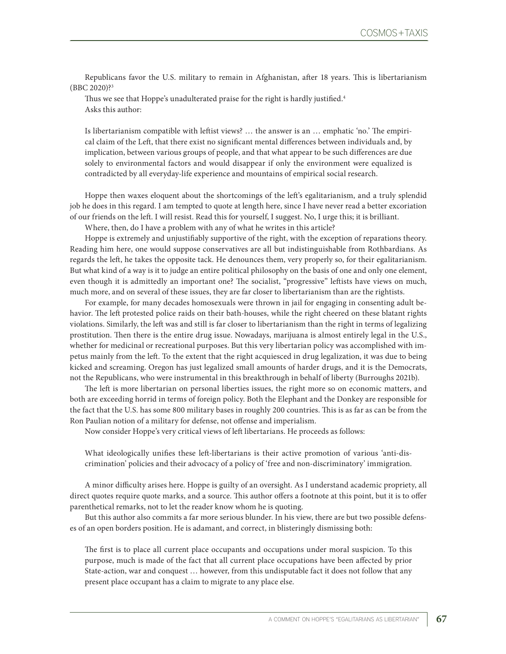Republicans favor the U.S. military to remain in Afghanistan, after 18 years. This is libertarianism (BBC 2020)?3

Thus we see that Hoppe's unadulterated praise for the right is hardly justified.<sup>4</sup> Asks this author:

Is libertarianism compatible with leftist views? … the answer is an … emphatic 'no.' The empirical claim of the Left, that there exist no significant mental differences between individuals and, by implication, between various groups of people, and that what appear to be such differences are due solely to environmental factors and would disappear if only the environment were equalized is contradicted by all everyday-life experience and mountains of empirical social research.

Hoppe then waxes eloquent about the shortcomings of the left's egalitarianism, and a truly splendid job he does in this regard. I am tempted to quote at length here, since I have never read a better excoriation of our friends on the left. I will resist. Read this for yourself, I suggest. No, I urge this; it is brilliant.

Where, then, do I have a problem with any of what he writes in this article?

Hoppe is extremely and unjustifiably supportive of the right, with the exception of reparations theory. Reading him here, one would suppose conservatives are all but indistinguishable from Rothbardians. As regards the left, he takes the opposite tack. He denounces them, very properly so, for their egalitarianism. But what kind of a way is it to judge an entire political philosophy on the basis of one and only one element, even though it is admittedly an important one? The socialist, "progressive" leftists have views on much, much more, and on several of these issues, they are far closer to libertarianism than are the rightists.

For example, for many decades homosexuals were thrown in jail for engaging in consenting adult behavior. The left protested police raids on their bath-houses, while the right cheered on these blatant rights violations. Similarly, the left was and still is far closer to libertarianism than the right in terms of legalizing prostitution. Then there is the entire drug issue. Nowadays, marijuana is almost entirely legal in the U.S., whether for medicinal or recreational purposes. But this very libertarian policy was accomplished with impetus mainly from the left. To the extent that the right acquiesced in drug legalization, it was due to being kicked and screaming. Oregon has just legalized small amounts of harder drugs, and it is the Democrats, not the Republicans, who were instrumental in this breakthrough in behalf of liberty (Burroughs 2021b).

The left is more libertarian on personal liberties issues, the right more so on economic matters, and both are exceeding horrid in terms of foreign policy. Both the Elephant and the Donkey are responsible for the fact that the U.S. has some 800 military bases in roughly 200 countries. This is as far as can be from the Ron Paulian notion of a military for defense, not offense and imperialism.

Now consider Hoppe's very critical views of left libertarians. He proceeds as follows:

What ideologically unifies these left-libertarians is their active promotion of various 'anti-discrimination' policies and their advocacy of a policy of 'free and non-discriminatory' immigration.

A minor difficulty arises here. Hoppe is guilty of an oversight. As I understand academic propriety, all direct quotes require quote marks, and a source. This author offers a footnote at this point, but it is to offer parenthetical remarks, not to let the reader know whom he is quoting.

But this author also commits a far more serious blunder. In his view, there are but two possible defenses of an open borders position. He is adamant, and correct, in blisteringly dismissing both:

The first is to place all current place occupants and occupations under moral suspicion. To this purpose, much is made of the fact that all current place occupations have been affected by prior State-action, war and conquest … however, from this undisputable fact it does not follow that any present place occupant has a claim to migrate to any place else.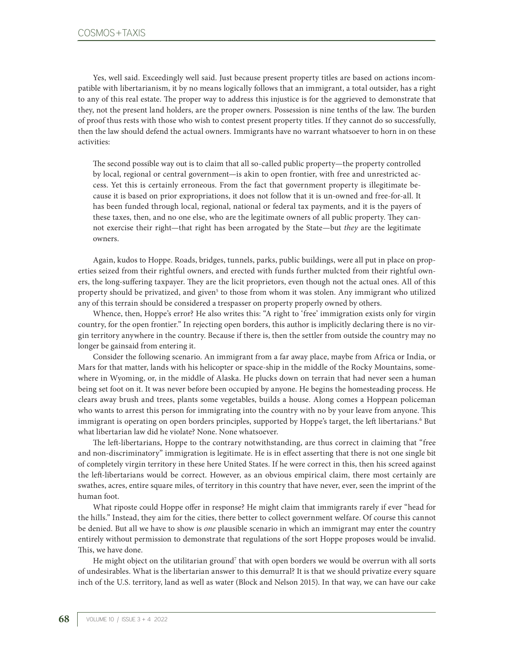Yes, well said. Exceedingly well said. Just because present property titles are based on actions incompatible with libertarianism, it by no means logically follows that an immigrant, a total outsider, has a right to any of this real estate. The proper way to address this injustice is for the aggrieved to demonstrate that they, not the present land holders, are the proper owners. Possession is nine tenths of the law. The burden of proof thus rests with those who wish to contest present property titles. If they cannot do so successfully, then the law should defend the actual owners. Immigrants have no warrant whatsoever to horn in on these activities:

The second possible way out is to claim that all so-called public property—the property controlled by local, regional or central government—is akin to open frontier, with free and unrestricted access. Yet this is certainly erroneous. From the fact that government property is illegitimate because it is based on prior expropriations, it does not follow that it is un-owned and free-for-all. It has been funded through local, regional, national or federal tax payments, and it is the payers of these taxes, then, and no one else, who are the legitimate owners of all public property. They cannot exercise their right—that right has been arrogated by the State—but *they* are the legitimate owners.

Again, kudos to Hoppe. Roads, bridges, tunnels, parks, public buildings, were all put in place on properties seized from their rightful owners, and erected with funds further mulcted from their rightful owners, the long-suffering taxpayer. They are the licit proprietors, even though not the actual ones. All of this property should be privatized, and given<sup>5</sup> to those from whom it was stolen. Any immigrant who utilized any of this terrain should be considered a trespasser on property properly owned by others.

Whence, then, Hoppe's error? He also writes this: "A right to 'free' immigration exists only for virgin country, for the open frontier." In rejecting open borders, this author is implicitly declaring there is no virgin territory anywhere in the country. Because if there is, then the settler from outside the country may no longer be gainsaid from entering it.

Consider the following scenario. An immigrant from a far away place, maybe from Africa or India, or Mars for that matter, lands with his helicopter or space-ship in the middle of the Rocky Mountains, somewhere in Wyoming, or, in the middle of Alaska. He plucks down on terrain that had never seen a human being set foot on it. It was never before been occupied by anyone. He begins the homesteading process. He clears away brush and trees, plants some vegetables, builds a house. Along comes a Hoppean policeman who wants to arrest this person for immigrating into the country with no by your leave from anyone. This immigrant is operating on open borders principles, supported by Hoppe's target, the left libertarians.<sup>6</sup> But what libertarian law did he violate? None. None whatsoever.

The left-libertarians, Hoppe to the contrary notwithstanding, are thus correct in claiming that "free and non-discriminatory" immigration is legitimate. He is in effect asserting that there is not one single bit of completely virgin territory in these here United States. If he were correct in this, then his screed against the left-libertarians would be correct. However, as an obvious empirical claim, there most certainly are swathes, acres, entire square miles, of territory in this country that have never, ever, seen the imprint of the human foot.

What riposte could Hoppe offer in response? He might claim that immigrants rarely if ever "head for the hills." Instead, they aim for the cities, there better to collect government welfare. Of course this cannot be denied. But all we have to show is *one* plausible scenario in which an immigrant may enter the country entirely without permission to demonstrate that regulations of the sort Hoppe proposes would be invalid. This, we have done.

He might object on the utilitarian ground<sup>7</sup> that with open borders we would be overrun with all sorts of undesirables. What is the libertarian answer to this demurral? It is that we should privatize every square inch of the U.S. territory, land as well as water (Block and Nelson 2015). In that way, we can have our cake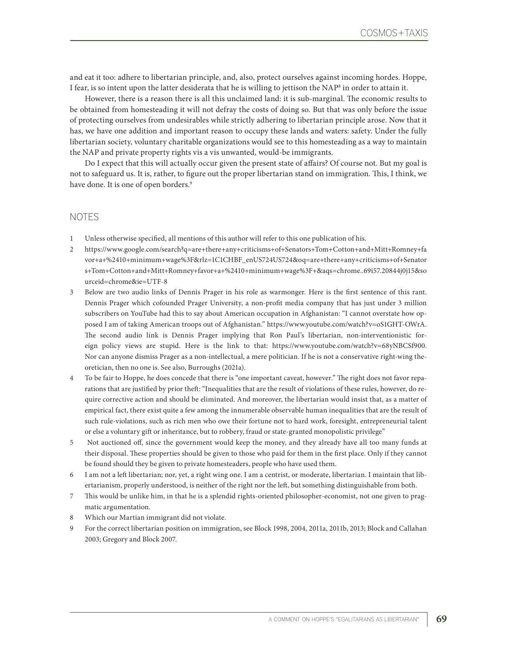and eat it too: adhere to libertarian principle, and, also, protect ourselves against incoming hordes. Hoppe, I fear, is so intent upon the latter desiderata that he is willing to jettison the NAP $^{\rm 8}$  in order to attain it.

However, there is a reason there is all this unclaimed land: it is sub-marginal. The economic results to be obtained from homesteading it will not defray the costs of doing so. But that was only before the issue of protecting ourselves from undesirables while strictly adhering to libertarian principle arose. Now that it has, we have one addition and important reason to occupy these lands and waters: safety. Under the fully libertarian society, voluntary charitable organizations would see to this homesteading as a way to maintain the NAP and private property rights vis a vis unwanted, would-be immigrants.

Do I expect that this will actually occur given the present state of affairs? Of course not. But my goal is not to safeguard us. It is, rather, to figure out the proper libertarian stand on immigration. This, I think, we have done. It is one of open borders.<sup>9</sup>

## NOTES

- 1 Unless otherwise specified, all mentions of this author will refer to this one publication of his.
- 2 [https://www.google.com/search?q=are+there+any+criticisms+of+Senators+Tom+Cotton+and+Mitt+Romney+fa](https://www.google.com/search?q=are+there+any+criticisms+of+Senators+Tom+Cotton+and+Mitt+Romney+favor+a+%2410+minimum+wage%3F&rlz=1C1CHBF_enUS724US724&oq=are+there+any+criticisms+of+Senators+Tom+Cotton+and+Mitt+Romney+favor+a+%2410+minimum+wage%3F+&aqs=ch) [vor+a+%2410+minimum+wage%3F&rlz=1C1CHBF\\_enUS724US724&oq=are+there+any+criticisms+of+Senator](https://www.google.com/search?q=are+there+any+criticisms+of+Senators+Tom+Cotton+and+Mitt+Romney+favor+a+%2410+minimum+wage%3F&rlz=1C1CHBF_enUS724US724&oq=are+there+any+criticisms+of+Senators+Tom+Cotton+and+Mitt+Romney+favor+a+%2410+minimum+wage%3F+&aqs=ch) [s+Tom+Cotton+and+Mitt+Romney+favor+a+%2410+minimum+wage%3F+&aqs=chrome..69i57.20844j0j15&so](https://www.google.com/search?q=are+there+any+criticisms+of+Senators+Tom+Cotton+and+Mitt+Romney+favor+a+%2410+minimum+wage%3F&rlz=1C1CHBF_enUS724US724&oq=are+there+any+criticisms+of+Senators+Tom+Cotton+and+Mitt+Romney+favor+a+%2410+minimum+wage%3F+&aqs=ch) [urceid=chrome&ie=UTF-8](https://www.google.com/search?q=are+there+any+criticisms+of+Senators+Tom+Cotton+and+Mitt+Romney+favor+a+%2410+minimum+wage%3F&rlz=1C1CHBF_enUS724US724&oq=are+there+any+criticisms+of+Senators+Tom+Cotton+and+Mitt+Romney+favor+a+%2410+minimum+wage%3F+&aqs=ch)
- 3 Below are two audio links of Dennis Prager in his role as warmonger. Here is the first sentence of this rant. Dennis Prager which cofounded Prager University, a non-profit media company that has just under 3 million subscribers on YouTube had this to say about American occupation in Afghanistan: "I cannot overstate how opposed I am of taking American troops out of Afghanistan." https://www.youtube.com/watch?v=oS1GHT-OWrA. The second audio link is Dennis Prager implying that Ron Paul's libertarian, non-interventionistic foreign policy views are stupid. Here is the link to that: https://www.youtube.com/watch?v=68yNBCSf900. Nor can anyone dismiss Prager as a non-intellectual, a mere politician. If he is not a conservative right-wing theoretician, then no one is. See also, Burroughs (2021a).
- 4 To be fair to Hoppe, he does concede that there is "one important caveat, however." The right does not favor reparations that are justified by prior theft: "Inequalities that are the result of violations of these rules, however, do require corrective action and should be eliminated. And moreover, the libertarian would insist that, as a matter of empirical fact, there exist quite a few among the innumerable observable human inequalities that are the result of such rule-violations, such as rich men who owe their fortune not to hard work, foresight, entrepreneurial talent or else a voluntary gift or inheritance, but to robbery, fraud or state-granted monopolistic privilege"
- 5 Not auctioned off, since the government would keep the money, and they already have all too many funds at their disposal. These properties should be given to those who paid for them in the first place. Only if they cannot be found should they be given to private homesteaders, people who have used them.
- 6 I am not a left libertarian; nor, yet, a right wing one. I am a centrist, or moderate, libertarian. I maintain that libertarianism, properly understood, is neither of the right nor the left, but something distinguishable from both.
- 7 This would be unlike him, in that he is a splendid rights-oriented philosopher-economist, not one given to pragmatic argumentation.
- 8 Which our Martian immigrant did not violate.
- 9 For the correct libertarian position on immigration, see Block 1998, 2004, 2011a, 2011b, 2013; Block and Callahan 2003; Gregory and Block 2007.